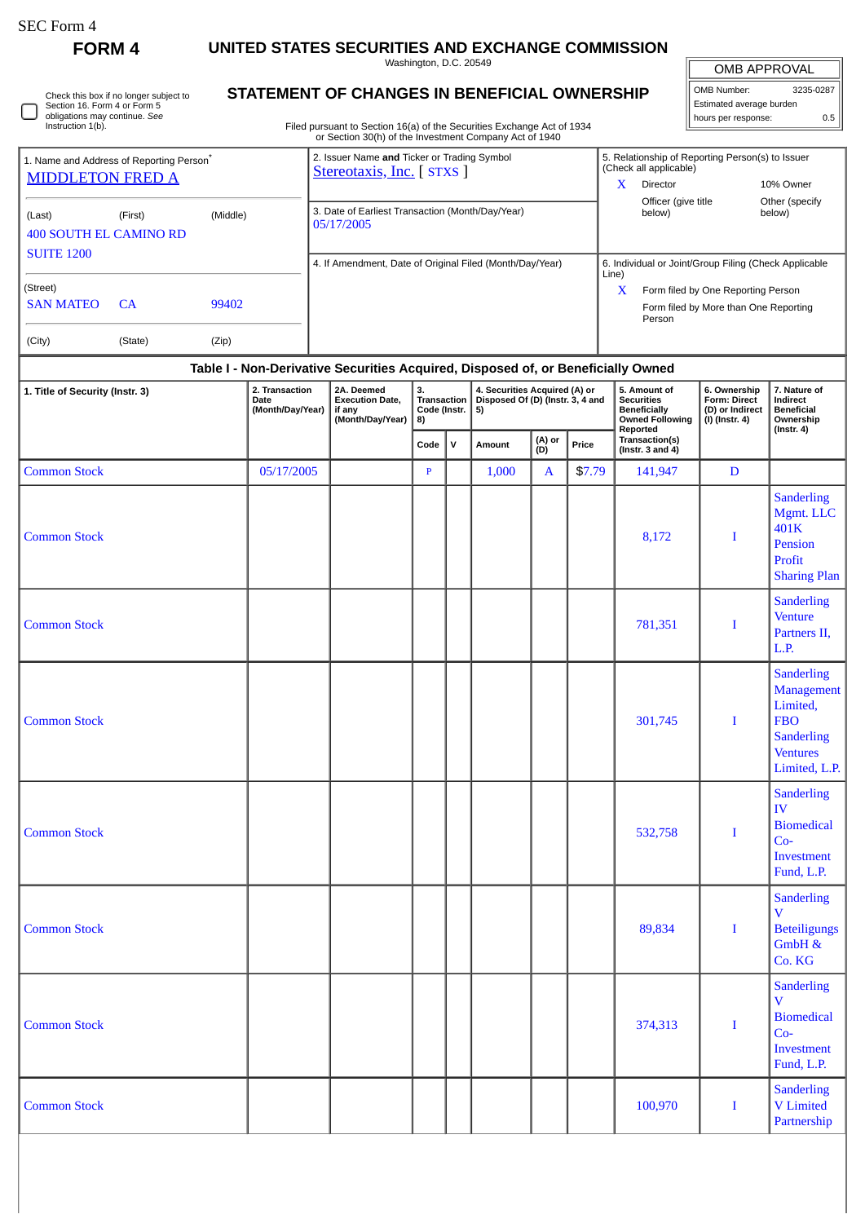| SEC Form 4 |  |
|------------|--|
|------------|--|

 $\Box$ 

**FORM 4 UNITED STATES SECURITIES AND EXCHANGE COMMISSION**

Washington, D.C. 20549

| Check this box if no longer subject to |  |
|----------------------------------------|--|
| Section 16. Form 4 or Form 5           |  |
| obligations may continue. See          |  |
| Instruction 1(b).                      |  |

## **STATEMENT OF CHANGES IN BENEFICIAL OWNERSHIP**

Filed pursuant to Section 16(a) of the Securities Exchange Act of 1934 or Section 30(h) of the Investment Company Act of 1940

| <b>OMB APPROVAL</b>      |           |  |  |  |  |  |  |  |  |
|--------------------------|-----------|--|--|--|--|--|--|--|--|
| OMB Number:              | 3235-0287 |  |  |  |  |  |  |  |  |
| Estimated average burden |           |  |  |  |  |  |  |  |  |
| hours per response:      | 0.5       |  |  |  |  |  |  |  |  |

| 1. Name and Address of Reporting Person <sup>®</sup><br><b>MIDDLETON FRED A</b> |                  |           | 2. Issuer Name and Ticker or Trading Symbol<br>Stereotaxis, Inc. [STXS ] | 5. Relationship of Reporting Person(s) to Issuer<br>(Check all applicable) |                                                       |                                                 |  |  |  |
|---------------------------------------------------------------------------------|------------------|-----------|--------------------------------------------------------------------------|----------------------------------------------------------------------------|-------------------------------------------------------|-------------------------------------------------|--|--|--|
|                                                                                 |                  |           |                                                                          | x                                                                          | Director                                              | 10% Owner                                       |  |  |  |
| (Last)<br><b>400 SOUTH EL CAMINO RD</b><br><b>SUITE 1200</b>                    | (First)          | (Middle)  | 3. Date of Earliest Transaction (Month/Day/Year)<br>05/17/2005           |                                                                            | Officer (give title<br>below)                         | Other (specify)<br>below)                       |  |  |  |
|                                                                                 |                  |           | 4. If Amendment, Date of Original Filed (Month/Day/Year)                 | Line)                                                                      | 6. Individual or Joint/Group Filing (Check Applicable |                                                 |  |  |  |
|                                                                                 | (Street)         |           |                                                                          |                                                                            | X                                                     | Form filed by One Reporting Person              |  |  |  |
|                                                                                 | <b>SAN MATEO</b> | <b>CA</b> | 99402                                                                    |                                                                            |                                                       | Form filed by More than One Reporting<br>Person |  |  |  |
|                                                                                 | (City)           | (State)   | (Zip)                                                                    |                                                                            |                                                       |                                                 |  |  |  |

## **Table I - Non-Derivative Securities Acquired, Disposed of, or Beneficially Owned**

| 1. Title of Security (Instr. 3) | 2. Transaction<br>Date<br>(Month/Day/Year) | 2A. Deemed<br><b>Execution Date,</b><br>if any<br>(Month/Day/Year) | 3.<br>Transaction<br>Code (Instr.<br>8) |             | 4. Securities Acquired (A) or<br>Disposed Of (D) (Instr. 3, 4 and<br>5) |               |        | 5. Amount of<br><b>Securities</b><br><b>Beneficially</b><br><b>Owned Following</b><br>Reported | 6. Ownership<br>Form: Direct<br>(D) or Indirect<br>$(1)$ (Instr. 4) | 7. Nature of<br>Indirect<br><b>Beneficial</b><br>Ownership<br>$($ Instr. 4 $)$                                            |  |
|---------------------------------|--------------------------------------------|--------------------------------------------------------------------|-----------------------------------------|-------------|-------------------------------------------------------------------------|---------------|--------|------------------------------------------------------------------------------------------------|---------------------------------------------------------------------|---------------------------------------------------------------------------------------------------------------------------|--|
|                                 |                                            |                                                                    | Code                                    | $\mathbf v$ | Amount                                                                  | (A) or<br>(D) | Price  | Transaction(s)<br>(Instr. 3 and $4$ )                                                          |                                                                     |                                                                                                                           |  |
| <b>Common Stock</b>             | 05/17/2005                                 |                                                                    | $\mathbf{P}$                            |             | 1,000                                                                   | $\mathbf{A}$  | \$7.79 | 141,947                                                                                        | $\mathbf D$                                                         |                                                                                                                           |  |
| <b>Common Stock</b>             |                                            |                                                                    |                                         |             |                                                                         |               |        | 8,172                                                                                          | I                                                                   | <b>Sanderling</b><br>Mgmt. LLC<br>401K<br>Pension<br>Profit<br><b>Sharing Plan</b>                                        |  |
| <b>Common Stock</b>             |                                            |                                                                    |                                         |             |                                                                         |               |        | 781,351                                                                                        | I                                                                   | <b>Sanderling</b><br><b>Venture</b><br>Partners II,<br>L.P.                                                               |  |
| <b>Common Stock</b>             |                                            |                                                                    |                                         |             |                                                                         |               |        | 301,745                                                                                        | I                                                                   | <b>Sanderling</b><br><b>Management</b><br>Limited,<br><b>FBO</b><br><b>Sanderling</b><br><b>Ventures</b><br>Limited, L.P. |  |
| <b>Common Stock</b>             |                                            |                                                                    |                                         |             |                                                                         |               |        | 532,758                                                                                        | I                                                                   | <b>Sanderling</b><br>${\rm IV}$<br><b>Biomedical</b><br>$Co-$<br>Investment<br>Fund, L.P.                                 |  |
| <b>Common Stock</b>             |                                            |                                                                    |                                         |             |                                                                         |               |        | 89,834                                                                                         | I                                                                   | <b>Sanderling</b><br>$\overline{\mathbf{V}}$<br><b>Beteiligungs</b><br>GmbH &<br>Co. KG                                   |  |
| <b>Common Stock</b>             |                                            |                                                                    |                                         |             |                                                                         |               |        | 374,313                                                                                        |                                                                     | <b>Sanderling</b><br>$\mathbf V$<br><b>Biomedical</b><br>$Co-$<br>Investment<br>Fund, L.P.                                |  |
| <b>Common Stock</b>             |                                            |                                                                    |                                         |             |                                                                         |               |        | 100,970                                                                                        | $\bf I$                                                             | <b>Sanderling</b><br>V Limited<br>Partnership                                                                             |  |